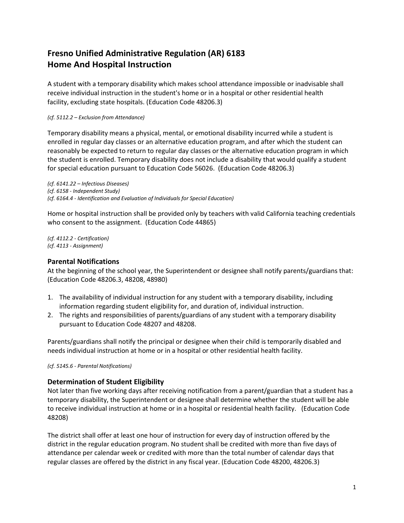# **Fresno Unified Administrative Regulation (AR) 6183 Home And Hospital Instruction**

A student with a temporary disability which makes school attendance impossible or inadvisable shall receive individual instruction in the student's home or in a hospital or other residential health facility, excluding state hospitals. (Education Code 48206.3)

#### *(cf. 5112.2 – Exclusion from Attendance)*

Temporary disability means a physical, mental, or emotional disability incurred while a student is enrolled in regular day classes or an alternative education program, and after which the student can reasonably be expected to return to regular day classes or the alternative education program in which the student is enrolled. Temporary disability does not include a disability that would qualify a student for special education pursuant to Education Code 56026. (Education Code 48206.3)

*(cf. 6141.22 – Infectious Diseases) (cf. 6158 - Independent Study) (cf. 6164.4 - Identification and Evaluation of Individuals for Special Education)*

Home or hospital instruction shall be provided only by teachers with valid California teaching credentials who consent to the assignment. (Education Code 44865)

*(cf. 4112.2 - Certification) (cf. 4113 - Assignment)*

## **Parental Notifications**

At the beginning of the school year, the Superintendent or designee shall notify parents/guardians that: (Education Code 48206.3, 48208, 48980)

- 1. The availability of individual instruction for any student with a temporary disability, including information regarding student eligibility for, and duration of, individual instruction.
- 2. The rights and responsibilities of parents/guardians of any student with a temporary disability pursuant to Education Code 48207 and 48208.

Parents/guardians shall notify the principal or designee when their child is temporarily disabled and needs individual instruction at home or in a hospital or other residential health facility.

*(cf. 5145.6 - Parental Notifications)*

## **Determination of Student Eligibility**

Not later than five working days after receiving notification from a parent/guardian that a student has a temporary disability, the Superintendent or designee shall determine whether the student will be able to receive individual instruction at home or in a hospital or residential health facility. (Education Code 48208)

The district shall offer at least one hour of instruction for every day of instruction offered by the district in the regular education program. No student shall be credited with more than five days of attendance per calendar week or credited with more than the total number of calendar days that regular classes are offered by the district in any fiscal year. (Education Code 48200, 48206.3)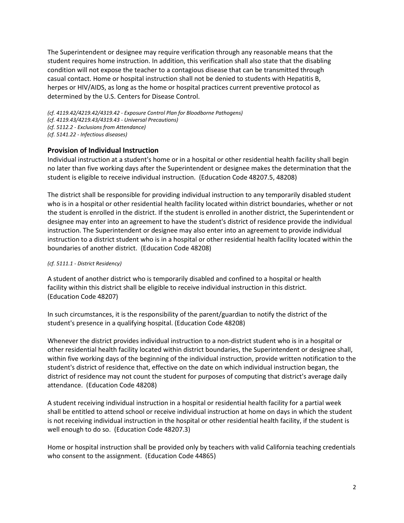The Superintendent or designee may require verification through any reasonable means that the student requires home instruction. In addition, this verification shall also state that the disabling condition will not expose the teacher to a contagious disease that can be transmitted through casual contact. Home or hospital instruction shall not be denied to students with Hepatitis B, herpes or HIV/AIDS, as long as the home or hospital practices current preventive protocol as determined by the U.S. Centers for Disease Control.

*(cf. 4119.42/4219.42/4319.42 - Exposure Control Plan for Bloodborne Pathogens) (cf. 4119.43/4219.43/4319.43 - Universal Precautions) (cf. 5112.2 - Exclusions from Attendance) (cf. 5141.22 - Infectious diseases)*

# **Provision of Individual Instruction**

Individual instruction at a student's home or in a hospital or other residential health facility shall begin no later than five working days after the Superintendent or designee makes the determination that the student is eligible to receive individual instruction. (Education Code 48207.5, 48208)

The district shall be responsible for providing individual instruction to any temporarily disabled student who is in a hospital or other residential health facility located within district boundaries, whether or not the student is enrolled in the district. If the student is enrolled in another district, the Superintendent or designee may enter into an agreement to have the student's district of residence provide the individual instruction. The Superintendent or designee may also enter into an agreement to provide individual instruction to a district student who is in a hospital or other residential health facility located within the boundaries of another district. (Education Code 48208)

#### *(cf. 5111.1 - District Residency)*

A student of another district who is temporarily disabled and confined to a hospital or health facility within this district shall be eligible to receive individual instruction in this district. (Education Code 48207)

In such circumstances, it is the responsibility of the parent/guardian to notify the district of the student's presence in a qualifying hospital. (Education Code 48208)

Whenever the district provides individual instruction to a non-district student who is in a hospital or other residential health facility located within district boundaries, the Superintendent or designee shall, within five working days of the beginning of the individual instruction, provide written notification to the student's district of residence that, effective on the date on which individual instruction began, the district of residence may not count the student for purposes of computing that district's average daily attendance. (Education Code 48208)

A student receiving individual instruction in a hospital or residential health facility for a partial week shall be entitled to attend school or receive individual instruction at home on days in which the student is not receiving individual instruction in the hospital or other residential health facility, if the student is well enough to do so. (Education Code 48207.3)

Home or hospital instruction shall be provided only by teachers with valid California teaching credentials who consent to the assignment. (Education Code 44865)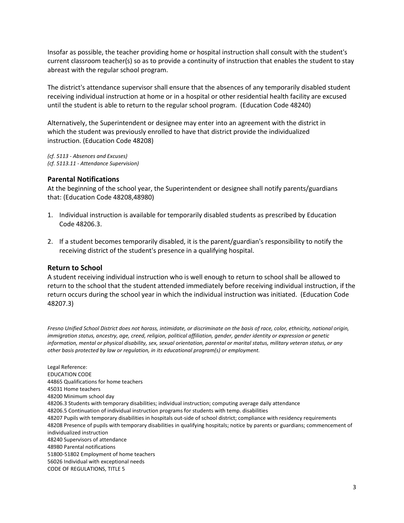Insofar as possible, the teacher providing home or hospital instruction shall consult with the student's current classroom teacher(s) so as to provide a continuity of instruction that enables the student to stay abreast with the regular school program.

The district's attendance supervisor shall ensure that the absences of any temporarily disabled student receiving individual instruction at home or in a hospital or other residential health facility are excused until the student is able to return to the regular school program. (Education Code 48240)

Alternatively, the Superintendent or designee may enter into an agreement with the district in which the student was previously enrolled to have that district provide the individualized instruction. (Education Code 48208)

*(cf. 5113 - Absences and Excuses) (cf. 5113.11 - Attendance Supervision)*

## **Parental Notifications**

At the beginning of the school year, the Superintendent or designee shall notify parents/guardians that: (Education Code 48208,48980)

- 1. Individual instruction is available for temporarily disabled students as prescribed by Education Code 48206.3.
- 2. If a student becomes temporarily disabled, it is the parent/guardian's responsibility to notify the receiving district of the student's presence in a qualifying hospital.

## **Return to School**

A student receiving individual instruction who is well enough to return to school shall be allowed to return to the school that the student attended immediately before receiving individual instruction, if the return occurs during the school year in which the individual instruction was initiated. (Education Code 48207.3)

*Fresno Unified School District does not harass, intimidate, or discriminate on the basis of race, color, ethnicity, national origin, immigration status, ancestry, age, creed, religion, political affiliation, gender, gender identity or expression or genetic information, mental or physical disability, sex, sexual orientation, parental or marital status, military veteran status, or any other basis protected by law or regulation, in its educational program(s) or employment.*

Legal Reference: EDUCATION CODE 44865 Qualifications for home teachers 45031 Home teachers 48200 Minimum school day 48206.3 Students with temporary disabilities; individual instruction; computing average daily attendance 48206.5 Continuation of individual instruction programs for students with temp. disabilities 48207 Pupils with temporary disabilities in hospitals out-side of school district; compliance with residency requirements 48208 Presence of pupils with temporary disabilities in qualifying hospitals; notice by parents or guardians; commencement of individualized instruction 48240 Supervisors of attendance 48980 Parental notifications 51800-51802 Employment of home teachers 56026 Individual with exceptional needs CODE OF REGULATIONS, TITLE 5